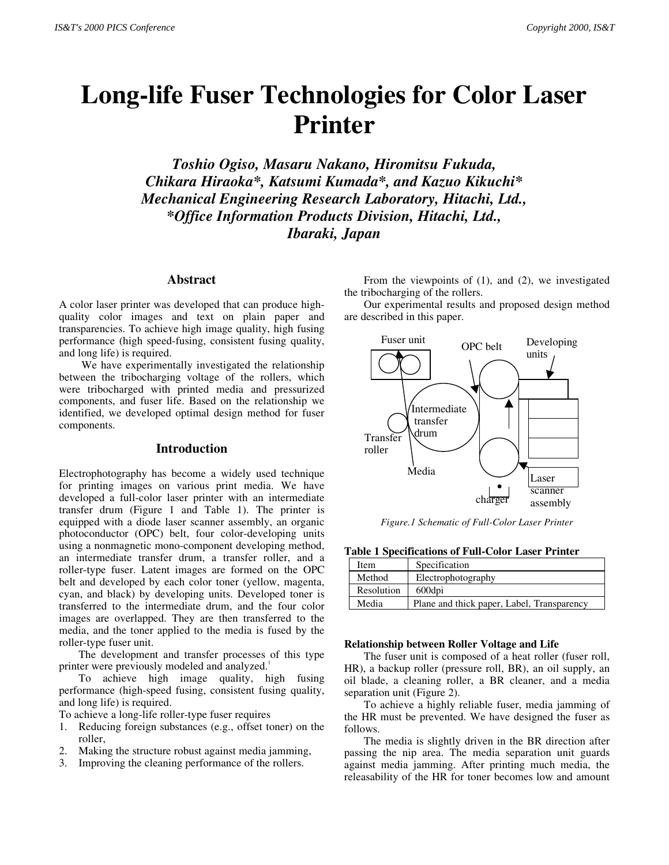# **Long-life Fuser Technologies for Color Laser Printer**

*Toshio Ogiso, Masaru Nakano, Hiromitsu Fukuda, Chikara Hiraoka\*, Katsumi Kumada\*, and Kazuo Kikuchi\* Mechanical Engineering Research Laboratory, Hitachi, Ltd., \*Office Information Products Division, Hitachi, Ltd., Ibaraki, Japan*

#### **Abstract**

A color laser printer was developed that can produce highquality color images and text on plain paper and transparencies. To achieve high image quality, high fusing performance (high speed-fusing, consistent fusing quality, and long life) is required.

We have experimentally investigated the relationship between the tribocharging voltage of the rollers, which were tribocharged with printed media and pressurized components, and fuser life. Based on the relationship we identified, we developed optimal design method for fuser components.

### **Introduction**

Electrophotography has become a widely used technique for printing images on various print media. We have developed a full-color laser printer with an intermediate transfer drum (Figure 1 and Table 1). The printer is equipped with a diode laser scanner assembly, an organic photoconductor (OPC) belt, four color-developing units using a nonmagnetic mono-component developing method, an intermediate transfer drum, a transfer roller, and a roller-type fuser. Latent images are formed on the OPC belt and developed by each color toner (yellow, magenta, cyan, and black) by developing units. Developed toner is transferred to the intermediate drum, and the four color images are overlapped. They are then transferred to the media, and the toner applied to the media is fused by the roller-type fuser unit.

The development and transfer processes of this type printer were previously modeled and analyzed.<sup>1</sup>

To achieve high image quality, high fusing performance (high-speed fusing, consistent fusing quality, and long life) is required.

- To achieve a long-life roller-type fuser requires
- 1. Reducing foreign substances (e.g., offset toner) on the roller,
- 2. Making the structure robust against media jamming,
- 3. Improving the cleaning performance of the rollers.

From the viewpoints of (1), and (2), we investigated the tribocharging of the rollers.

Our experimental results and proposed design method are described in this paper.



*Figure.1 Schematic of Full-Color Laser Printer*

**Table 1 Specifications of Full-Color Laser Printer**

| Item       | Specification                              |
|------------|--------------------------------------------|
| Method     | Electrophotography                         |
| Resolution | 600dpi                                     |
| Media      | Plane and thick paper, Label, Transparency |

#### **Relationship between Roller Voltage and Life**

The fuser unit is composed of a heat roller (fuser roll, HR), a backup roller (pressure roll, BR), an oil supply, an oil blade, a cleaning roller, a BR cleaner, and a media separation unit (Figure 2).

To achieve a highly reliable fuser, media jamming of the HR must be prevented. We have designed the fuser as follows.

The media is slightly driven in the BR direction after passing the nip area. The media separation unit guards against media jamming. After printing much media, the releasability of the HR for toner becomes low and amount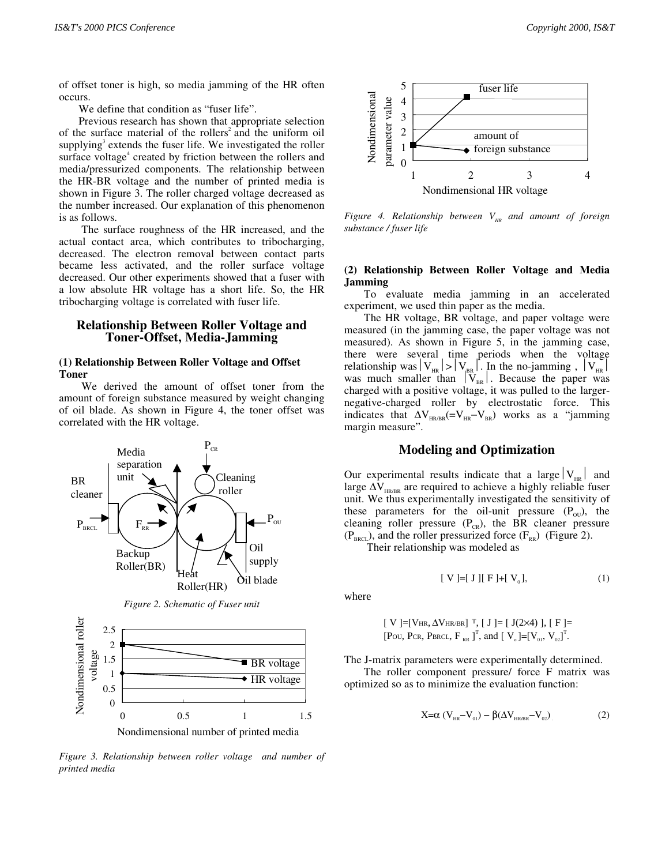of offset toner is high, so media jamming of the HR often occurs.

We define that condition as "fuser life".

Previous research has shown that appropriate selection of the surface material of the rollers<sup>2</sup> and the uniform oil supplying<sup>3</sup> extends the fuser life. We investigated the roller surface voltage<sup>4</sup> created by friction between the rollers and media/pressurized components. The relationship between the HR-BR voltage and the number of printed media is shown in Figure 3. The roller charged voltage decreased as the number increased. Our explanation of this phenomenon is as follows.

The surface roughness of the HR increased, and the actual contact area, which contributes to tribocharging, decreased. The electron removal between contact parts became less activated, and the roller surface voltage decreased. Our other experiments showed that a fuser with a low absolute HR voltage has a short life. So, the HR tribocharging voltage is correlated with fuser life.

#### **Relationship Between Roller Voltage and Toner-Offset, Media-Jamming**

#### **(1) Relationship Between Roller Voltage and Offset Toner**

We derived the amount of offset toner from the amount of foreign substance measured by weight changing of oil blade. As shown in Figure 4, the toner offset was correlated with the HR voltage.



*Figure 3. Relationship between roller voltage and number of printed media*



*Figure 4. Relationship between V<sub>HR</sub> and amount of foreign substance / fuser life*

### **(2) Relationship Between Roller Voltage and Media Jamming**

To evaluate media jamming in an accelerated experiment, we used thin paper as the media.

The HR voltage, BR voltage, and paper voltage were measured (in the jamming case, the paper voltage was not measured). As shown in Figure 5, in the jamming case, there were several time periods when the voltage relationship was  $|V_{HR}|>|V_{HR}|$ . In the no-jamming,  $|V_{HR}|$ was much smaller than  $|V_{BR}|$ . Because the paper was charged with a positive voltage, it was pulled to the largernegative-charged roller by electrostatic force. This indicates that  $\Delta V_{HR/BR}$ (= $V_{HR}$ – $V_{BR}$ ) works as a "jamming margin measure".

## **Modeling and Optimization**

Our experimental results indicate that a large  $|V_{HR}|$  and large  $\Delta V_{HR/BR}$  are required to achieve a highly reliable fuser unit. We thus experimentally investigated the sensitivity of these parameters for the oil-unit pressure  $(P_{\text{out}})$ , the cleaning roller pressure  $(P_{CR})$ , the BR cleaner pressure  $(P_{BRC})$ , and the roller pressurized force  $(F_{RR})$  (Figure 2).

Their relationship was modeled as

$$
[V] = [J][F] + [V_0], \tag{1}
$$

where

[**V**] = [**V**<sub>HR</sub>, 
$$
\Delta
$$
**V**<sub>HR</sub><sub>BR</sub>] <sup>T</sup>, [ **J** ] = [ **J**(2×4) ], [ **F** ] = [**P**<sub>OU</sub>, **P**<sub>CR</sub>, **P**<sub>BRCL</sub>, **F**<sub>RR</sub>]<sup>T</sup>, and [ **V**<sub>0</sub>] = [**V**<sub>01</sub>, **V**<sub>02</sub>]<sup>T</sup>.

The J-matrix parameters were experimentally determined.

The roller component pressure/ force F matrix was optimized so as to minimize the evaluation function:

$$
X = \alpha (V_{HR} - V_{01}) - \beta (\Delta V_{HR/BR} - V_{02})
$$
 (2)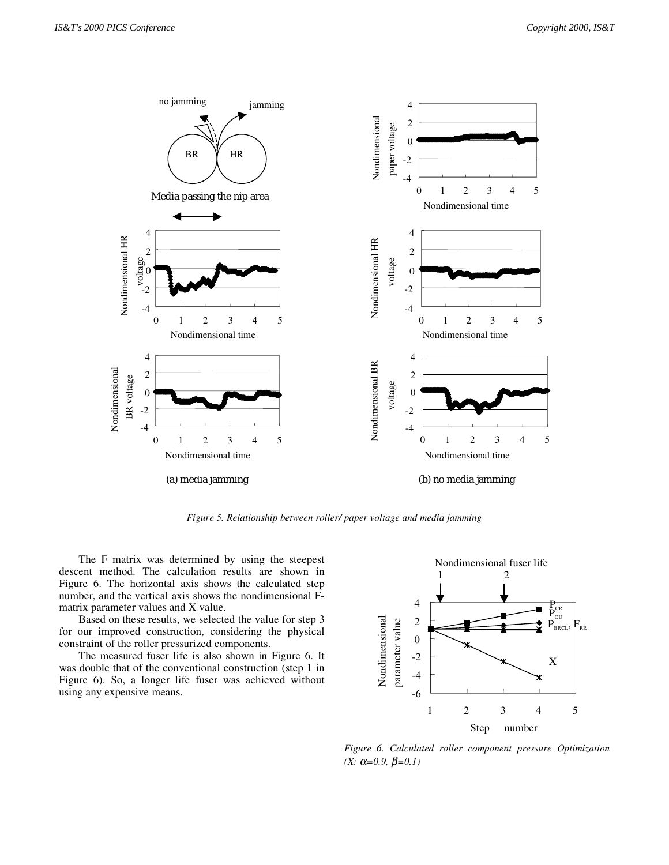

*Figure 5. Relationship between roller/ paper voltage and media jamming*

The F matrix was determined by using the steepest descent method. The calculation results are shown in Figure 6. The horizontal axis shows the calculated step number, and the vertical axis shows the nondimensional Fmatrix parameter values and X value.

Based on these results, we selected the value for step 3 for our improved construction, considering the physical constraint of the roller pressurized components.

The measured fuser life is also shown in Figure 6. It was double that of the conventional construction (step 1 in Figure 6). So, a longer life fuser was achieved without using any expensive means.  $\Box$  -6



*Figure 6. Calculated roller component pressure Optimization (X:* α=0.9, β=0.1)